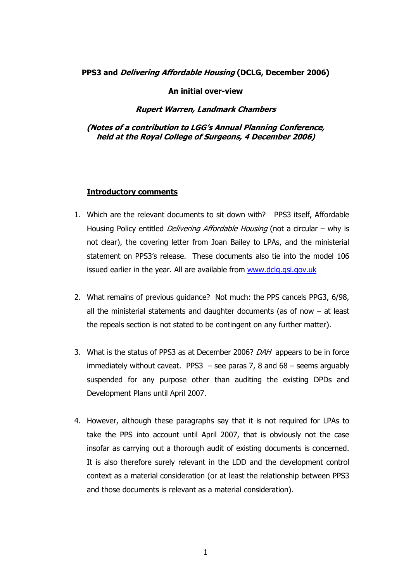## **PPS3 and Delivering Affordable Housing (DCLG, December 2006)**

#### **An initial over-view**

#### **Rupert Warren, Landmark Chambers**

## **(Notes of a contribution to LGG's Annual Planning Conference, held at the Royal College of Surgeons, 4 December 2006)**

#### **Introductory comments**

- 1. Which are the relevant documents to sit down with? PPS3 itself, Affordable Housing Policy entitled *Delivering Affordable Housing* (not a circular – why is not clear), the covering letter from Joan Bailey to LPAs, and the ministerial statement on PPS3's release. These documents also tie into the model 106 issued earlier in the year. All are available from www.dclg.gsi.gov.uk
- 2. What remains of previous guidance? Not much: the PPS cancels PPG3, 6/98, all the ministerial statements and daughter documents (as of now  $-$  at least the repeals section is not stated to be contingent on any further matter).
- 3. What is the status of PPS3 as at December 2006? *DAH* appears to be in force immediately without caveat. PPS3  $-$  see paras 7, 8 and 68  $-$  seems arguably suspended for any purpose other than auditing the existing DPDs and Development Plans until April 2007.
- 4. However, although these paragraphs say that it is not required for LPAs to take the PPS into account until April 2007, that is obviously not the case insofar as carrying out a thorough audit of existing documents is concerned. It is also therefore surely relevant in the LDD and the development control context as a material consideration (or at least the relationship between PPS3 and those documents is relevant as a material consideration).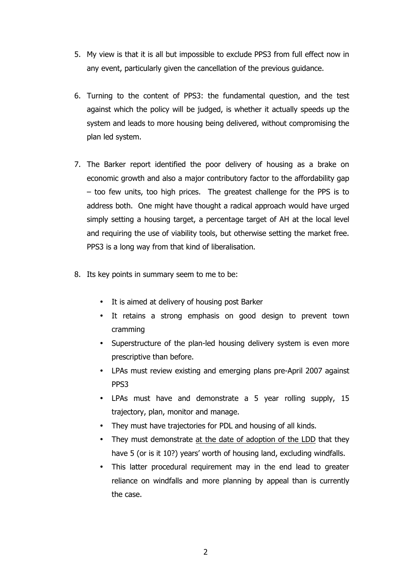- 5. My view is that it is all but impossible to exclude PPS3 from full effect now in any event, particularly given the cancellation of the previous guidance.
- 6. Turning to the content of PPS3: the fundamental question, and the test against which the policy will be judged, is whether it actually speeds up the system and leads to more housing being delivered, without compromising the plan led system.
- 7. The Barker report identified the poor delivery of housing as a brake on economic growth and also a major contributory factor to the affordability gap – too few units, too high prices. The greatest challenge for the PPS is to address both. One might have thought a radical approach would have urged simply setting a housing target, a percentage target of AH at the local level and requiring the use of viability tools, but otherwise setting the market free. PPS3 is a long way from that kind of liberalisation.
- 8. Its key points in summary seem to me to be:
	- It is aimed at delivery of housing post Barker
	- It retains a strong emphasis on good design to prevent town cramming
	- Superstructure of the plan-led housing delivery system is even more prescriptive than before.
	- LPAs must review existing and emerging plans pre-April 2007 against PPS3
	- LPAs must have and demonstrate a 5 year rolling supply, 15 trajectory, plan, monitor and manage.
	- They must have trajectories for PDL and housing of all kinds.
	- They must demonstrate at the date of adoption of the LDD that they have 5 (or is it 10?) years' worth of housing land, excluding windfalls.
	- This latter procedural requirement may in the end lead to greater reliance on windfalls and more planning by appeal than is currently the case.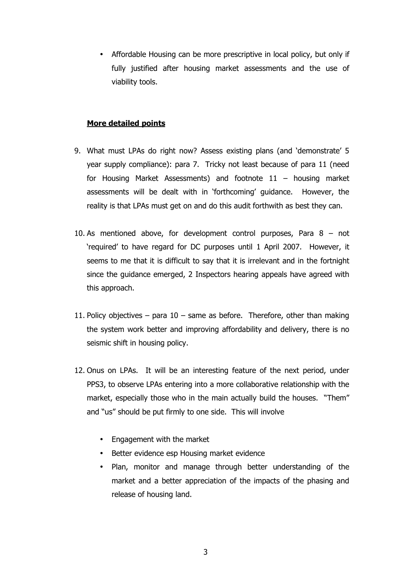• Affordable Housing can be more prescriptive in local policy, but only if fully justified after housing market assessments and the use of viability tools.

## **More detailed points**

- 9. What must LPAs do right now? Assess existing plans (and 'demonstrate' 5 year supply compliance): para 7. Tricky not least because of para 11 (need for Housing Market Assessments) and footnote 11 – housing market assessments will be dealt with in 'forthcoming' guidance. However, the reality is that LPAs must get on and do this audit forthwith as best they can.
- 10. As mentioned above, for development control purposes, Para 8 not 'required' to have regard for DC purposes until 1 April 2007. However, it seems to me that it is difficult to say that it is irrelevant and in the fortnight since the guidance emerged, 2 Inspectors hearing appeals have agreed with this approach.
- 11. Policy objectives para  $10$  same as before. Therefore, other than making the system work better and improving affordability and delivery, there is no seismic shift in housing policy.
- 12. Onus on LPAs. It will be an interesting feature of the next period, under PPS3, to observe LPAs entering into a more collaborative relationship with the market, especially those who in the main actually build the houses. "Them" and "us" should be put firmly to one side. This will involve
	- Engagement with the market
	- Better evidence esp Housing market evidence
	- Plan, monitor and manage through better understanding of the market and a better appreciation of the impacts of the phasing and release of housing land.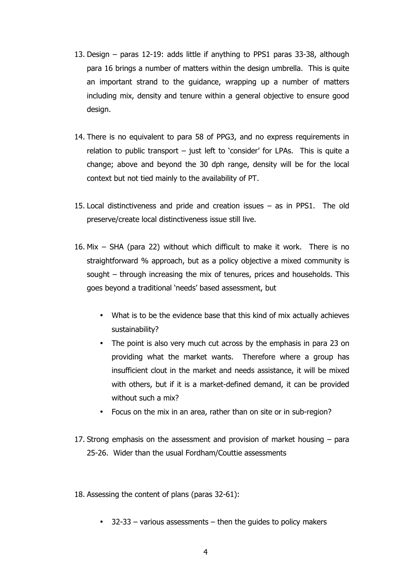- 13. Design paras 12-19: adds little if anything to PPS1 paras 33-38, although para 16 brings a number of matters within the design umbrella. This is quite an important strand to the guidance, wrapping up a number of matters including mix, density and tenure within a general objective to ensure good design.
- 14. There is no equivalent to para 58 of PPG3, and no express requirements in relation to public transport – just left to 'consider' for LPAs. This is quite a change; above and beyond the 30 dph range, density will be for the local context but not tied mainly to the availability of PT.
- 15. Local distinctiveness and pride and creation issues as in PPS1. The old preserve/create local distinctiveness issue still live.
- 16. Mix SHA (para 22) without which difficult to make it work. There is no straightforward % approach, but as a policy objective a mixed community is sought – through increasing the mix of tenures, prices and households. This goes beyond a traditional 'needs' based assessment, but
	- What is to be the evidence base that this kind of mix actually achieves sustainability?
	- The point is also very much cut across by the emphasis in para 23 on providing what the market wants. Therefore where a group has insufficient clout in the market and needs assistance, it will be mixed with others, but if it is a market-defined demand, it can be provided without such a mix?
	- Focus on the mix in an area, rather than on site or in sub-region?
- 17. Strong emphasis on the assessment and provision of market housing para 25-26. Wider than the usual Fordham/Couttie assessments
- 18. Assessing the content of plans (paras 32-61):
	- $\bullet$  32-33 various assessments then the guides to policy makers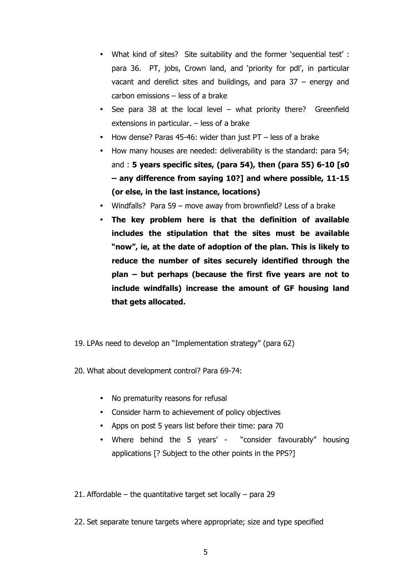- What kind of sites? Site suitability and the former 'sequential test' : para 36. PT, jobs, Crown land, and 'priority for pdl', in particular vacant and derelict sites and buildings, and para 37 – energy and carbon emissions – less of a brake
- See para 38 at the local level what priority there? Greenfield extensions in particular. – less of a brake
- How dense? Paras 45-46: wider than just PT less of a brake
- How many houses are needed: deliverability is the standard: para 54; and : **5 years specific sites, (para 54), then (para 55) 6-10 [s0 – any difference from saying 10?] and where possible, 11-15 (or else, in the last instance, locations)**
- Windfalls? Para 59 move away from brownfield? Less of a brake
- **The key problem here is that the definition of available includes the stipulation that the sites must be available "now", ie, at the date of adoption of the plan. This is likely to reduce the number of sites securely identified through the plan – but perhaps (because the first five years are not to include windfalls) increase the amount of GF housing land that gets allocated.**
- 19. LPAs need to develop an "Implementation strategy" (para 62)
- 20. What about development control? Para 69-74:
	- No prematurity reasons for refusal
	- Consider harm to achievement of policy objectives
	- Apps on post 5 years list before their time: para 70
	- Where behind the 5 years' "consider favourably" housing applications [? Subject to the other points in the PPS?]

21. Affordable – the quantitative target set locally – para 29

22. Set separate tenure targets where appropriate; size and type specified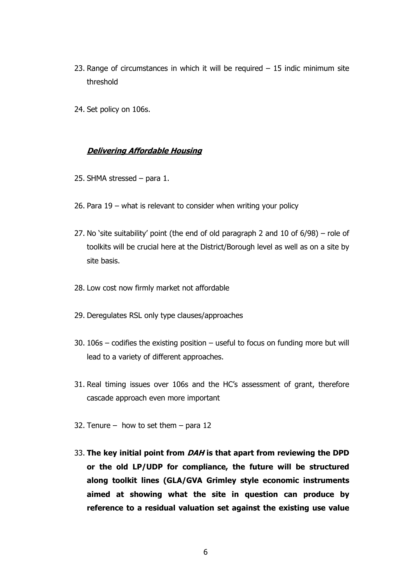- 23. Range of circumstances in which it will be required  $-15$  indic minimum site threshold
- 24. Set policy on 106s.

#### **Delivering Affordable Housing**

- 25. SHMA stressed para 1.
- 26. Para 19 what is relevant to consider when writing your policy
- 27. No 'site suitability' point (the end of old paragraph 2 and 10 of 6/98) role of toolkits will be crucial here at the District/Borough level as well as on a site by site basis.
- 28. Low cost now firmly market not affordable
- 29. Deregulates RSL only type clauses/approaches
- 30. 106s codifies the existing position useful to focus on funding more but will lead to a variety of different approaches.
- 31. Real timing issues over 106s and the HC's assessment of grant, therefore cascade approach even more important
- 32. Tenure how to set them para 12
- 33. **The key initial point from DAH is that apart from reviewing the DPD or the old LP/UDP for compliance, the future will be structured along toolkit lines (GLA/GVA Grimley style economic instruments aimed at showing what the site in question can produce by reference to a residual valuation set against the existing use value**